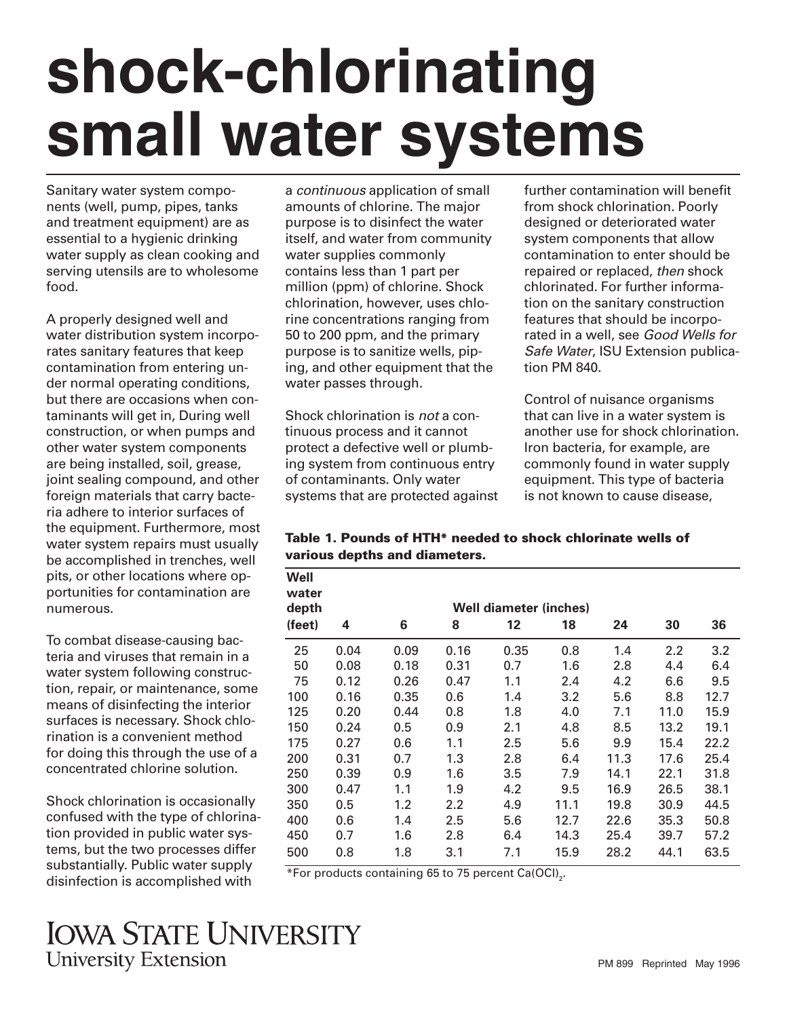# **shock-chlorinating small water systems**

Sanitary water system components (well, pump, pipes, tanks and treatment equipment) are as essential to a hygienic drinking water supply as clean cooking and serving utensils are to wholesome food.

A properly designed well and water distribution system incorporates sanitary features that keep contamination from entering under normal operating conditions, but there are occasions when contaminants will get in, During well construction, or when pumps and other water system components are being installed, soil, grease, joint sealing compound, and other foreign materials that carry bacteria adhere to interior surfaces of the equipment. Furthermore, most water system repairs must usually be accomplished in trenches, well pits, or other locations where opportunities for contamination are numerous.

To combat disease-causing bacteria and viruses that remain in a water system following construction, repair, or maintenance, some means of disinfecting the interior surfaces is necessary. Shock chlorination is a convenient method for doing this through the use of a concentrated chlorine solution.

Shock chlorination is occasionally confused with the type of chlorination provided in public water systems, but the two processes differ substantially. Public water supply disinfection is accomplished with

a *continuous* application of small amounts of chlorine. The major purpose is to disinfect the water itself, and water from community water supplies commonly contains less than 1 part per million (ppm) of chlorine. Shock chlorination, however, uses chlorine concentrations ranging from 50 to 200 ppm, and the primary purpose is to sanitize wells, piping, and other equipment that the water passes through.

Shock chlorination is *not* a continuous process and it cannot protect a defective well or plumbing system from continuous entry of contaminants. Only water systems that are protected against further contamination will benefit from shock chlorination. Poorly designed or deteriorated water system components that allow contamination to enter should be repaired or replaced, *then* shock chlorinated. For further information on the sanitary construction features that should be incorporated in a well, see *Good Wells for Safe Water*, ISU Extension publication PM 840.

Control of nuisance organisms that can live in a water system is another use for shock chlorination. Iron bacteria, for example, are commonly found in water supply equipment. This type of bacteria is not known to cause disease,

Table 1. Pounds of HTH\* needed to shock chlorinate wells of various depths and diameters.

| Well<br>water |                               |      |      |      |      |      |      |      |  |  |  |  |
|---------------|-------------------------------|------|------|------|------|------|------|------|--|--|--|--|
| depth         | <b>Well diameter (inches)</b> |      |      |      |      |      |      |      |  |  |  |  |
| (feet)        | 4                             | 6    | 8    | 12   | 18   | 24   | 30   | 36   |  |  |  |  |
| 25            | 0.04                          | 0.09 | 0.16 | 0.35 | 0.8  | 1.4  | 2.2  | 3.2  |  |  |  |  |
| 50            | 0.08                          | 0.18 | 0.31 | 0.7  | 1.6  | 2.8  | 4.4  | 6.4  |  |  |  |  |
| 75            | 0.12                          | 0.26 | 0.47 | 1.1  | 2.4  | 4.2  | 6.6  | 9.5  |  |  |  |  |
| 100           | 0.16                          | 0.35 | 0.6  | 1.4  | 3.2  | 5.6  | 8.8  | 12.7 |  |  |  |  |
| 125           | 0.20                          | 0.44 | 0.8  | 1.8  | 4.0  | 7.1  | 11.0 | 15.9 |  |  |  |  |
| 150           | 0.24                          | 0.5  | 0.9  | 2.1  | 4.8  | 8.5  | 13.2 | 19.1 |  |  |  |  |
| 175           | 0.27                          | 0.6  | 1.1  | 2.5  | 5.6  | 9.9  | 15.4 | 22.2 |  |  |  |  |
| 200           | 0.31                          | 0.7  | 1.3  | 2.8  | 6.4  | 11.3 | 17.6 | 25.4 |  |  |  |  |
| 250           | 0.39                          | 0.9  | 1.6  | 3.5  | 7.9  | 14.1 | 22.1 | 31.8 |  |  |  |  |
| 300           | 0.47                          | 1.1  | 1.9  | 4.2  | 9.5  | 16.9 | 26.5 | 38.1 |  |  |  |  |
| 350           | 0.5                           | 1.2  | 2.2  | 4.9  | 11.1 | 19.8 | 30.9 | 44.5 |  |  |  |  |
| 400           | 0.6                           | 1.4  | 2.5  | 5.6  | 12.7 | 22.6 | 35.3 | 50.8 |  |  |  |  |
| 450           | 0.7                           | 1.6  | 2.8  | 6.4  | 14.3 | 25.4 | 39.7 | 57.2 |  |  |  |  |
| 500           | 0.8                           | 1.8  | 3.1  | 7.1  | 15.9 | 28.2 | 44.1 | 63.5 |  |  |  |  |

 $*$  For products containing 65 to 75 percent Ca(OCI)<sub>2</sub>.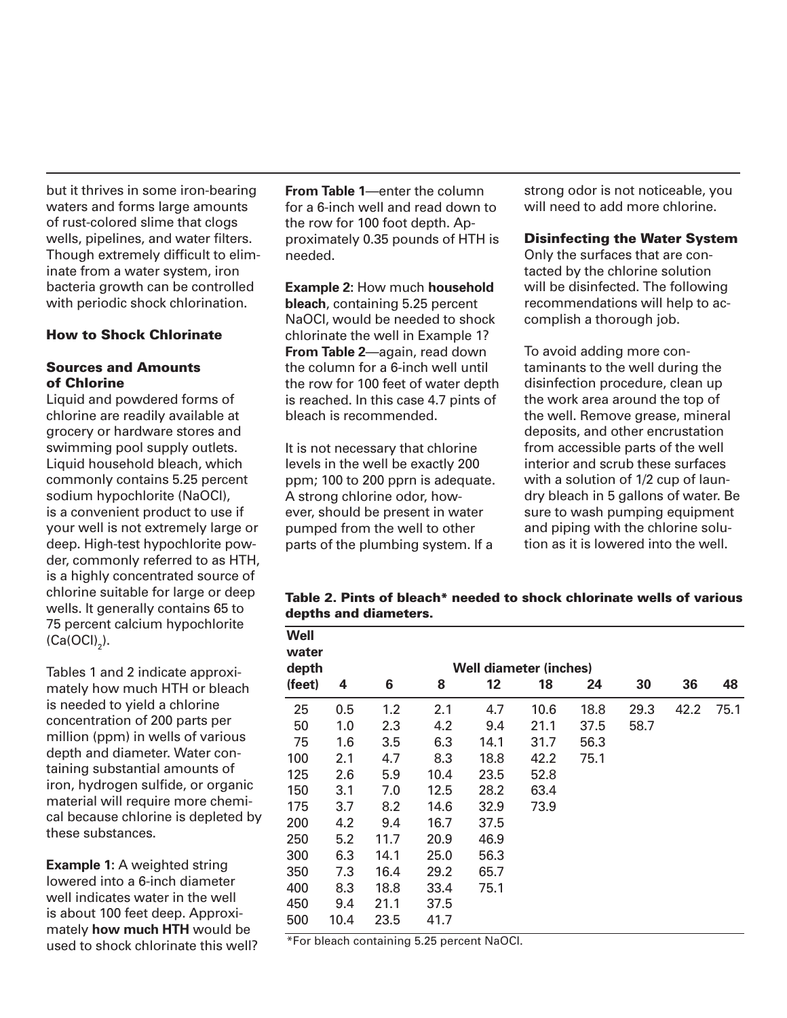but it thrives in some iron-bearing waters and forms large amounts of rust-colored slime that clogs wells, pipelines, and water filters. Though extremely difficult to eliminate from a water system, iron bacteria growth can be controlled with periodic shock chlorination.

### How to Shock Chlorinate

### Sources and Amounts of Chlorine

Liquid and powdered forms of chlorine are readily available at grocery or hardware stores and swimming pool supply outlets. Liquid household bleach, which commonly contains 5.25 percent sodium hypochlorite (NaOCI), is a convenient product to use if your well is not extremely large or deep. High-test hypochlorite powder, commonly referred to as HTH, is a highly concentrated source of chlorine suitable for large or deep wells. It generally contains 65 to 75 percent calcium hypochlorite  $\left\langle \mathsf{Ca(OCl)}_{2}\right\rangle$ .

Tables 1 and 2 indicate approximately how much HTH or bleach is needed to yield a chlorine concentration of 200 parts per million (ppm) in wells of various depth and diameter. Water containing substantial amounts of iron, hydrogen sulfide, or organic material will require more chemical because chlorine is depleted by these substances.

**Example 1:** A weighted string lowered into a 6-inch diameter well indicates water in the well is about 100 feet deep. Approximately **how much HTH** would be used to shock chlorinate this well? **From Table 1**—enter the column for a 6-inch well and read down to the row for 100 foot depth. Approximately 0.35 pounds of HTH is needed.

**Example 2:** How much **household bleach**, containing 5.25 percent NaOCI, would be needed to shock chlorinate the well in Example 1? **From Table 2**—again, read down the column for a 6-inch well until the row for 100 feet of water depth is reached. In this case 4.7 pints of bleach is recommended.

It is not necessary that chlorine levels in the well be exactly 200 ppm; 100 to 200 pprn is adequate. A strong chlorine odor, however, should be present in water pumped from the well to other parts of the plumbing system. If a

strong odor is not noticeable, you will need to add more chlorine.

### Disinfecting the Water System

Only the surfaces that are contacted by the chlorine solution will be disinfected. The following recommendations will help to accomplish a thorough job.

To avoid adding more contaminants to the well during the disinfection procedure, clean up the work area around the top of the well. Remove grease, mineral deposits, and other encrustation from accessible parts of the well interior and scrub these surfaces with a solution of 1/2 cup of laundry bleach in 5 gallons of water. Be sure to wash pumping equipment and piping with the chlorine solution as it is lowered into the well.

## Table 2. Pints of bleach\* needed to shock chlorinate wells of various depths and diameters.

| Well<br>water |                               |      |      |      |      |      |      |      |      |  |
|---------------|-------------------------------|------|------|------|------|------|------|------|------|--|
| depth         | <b>Well diameter (inches)</b> |      |      |      |      |      |      |      |      |  |
| (feet)        | 4                             | 6    | 8    | 12   | 18   | 24   | 30   | 36   | 48   |  |
| 25            | 0.5                           | 1.2  | 2.1  | 4.7  | 10.6 | 18.8 | 29.3 | 42.2 | 75.1 |  |
| 50            | 1.0                           | 2.3  | 4.2  | 9.4  | 21.1 | 37.5 | 58.7 |      |      |  |
| 75            | 1.6                           | 3.5  | 6.3  | 14.1 | 31.7 | 56.3 |      |      |      |  |
| 100           | 2.1                           | 4.7  | 8.3  | 18.8 | 42.2 | 75.1 |      |      |      |  |
| 125           | 2.6                           | 5.9  | 10.4 | 23.5 | 52.8 |      |      |      |      |  |
| 150           | 3.1                           | 7.0  | 12.5 | 28.2 | 63.4 |      |      |      |      |  |
| 175           | 3.7                           | 8.2  | 14.6 | 32.9 | 73.9 |      |      |      |      |  |
| 200           | 4.2                           | 9.4  | 16.7 | 37.5 |      |      |      |      |      |  |
| 250           | 5.2                           | 11.7 | 20.9 | 46.9 |      |      |      |      |      |  |
| 300           | 6.3                           | 14.1 | 25.0 | 56.3 |      |      |      |      |      |  |
| 350           | 7.3                           | 16.4 | 29.2 | 65.7 |      |      |      |      |      |  |
| 400           | 8.3                           | 18.8 | 33.4 | 75.1 |      |      |      |      |      |  |
| 450           | 9.4                           | 21.1 | 37.5 |      |      |      |      |      |      |  |
| 500           | 10.4                          | 23.5 | 41.7 |      |      |      |      |      |      |  |

\*For bleach containing 5.25 percent NaOCI.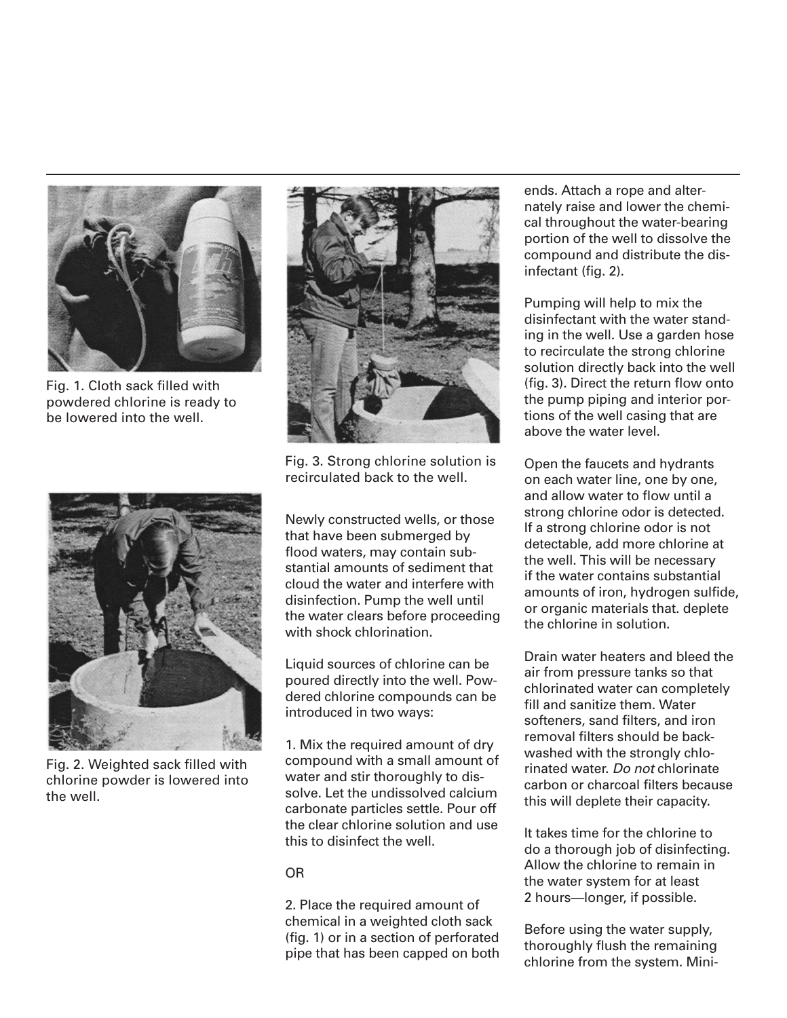

Fig. 1. Cloth sack filled with powdered chlorine is ready to be lowered into the well.



Fig. 2. Weighted sack filled with chlorine powder is lowered into the well.



Fig. 3. Strong chlorine solution is recirculated back to the well.

Newly constructed wells, or those that have been submerged by flood waters, may contain substantial amounts of sediment that cloud the water and interfere with disinfection. Pump the well until the water clears before proceeding with shock chlorination.

Liquid sources of chlorine can be poured directly into the well. Powdered chlorine compounds can be introduced in two ways:

1. Mix the required amount of dry compound with a small amount of water and stir thoroughly to dissolve. Let the undissolved calcium carbonate particles settle. Pour off the clear chlorine solution and use this to disinfect the well.

# OR

2. Place the required amount of chemical in a weighted cloth sack (fig. 1) or in a section of perforated pipe that has been capped on both ends. Attach a rope and alternately raise and lower the chemical throughout the water-bearing portion of the well to dissolve the compound and distribute the disinfectant (fig. 2).

Pumping will help to mix the disinfectant with the water standing in the well. Use a garden hose to recirculate the strong chlorine solution directly back into the well (fig. 3). Direct the return flow onto the pump piping and interior portions of the well casing that are above the water level.

Open the faucets and hydrants on each water line, one by one, and allow water to flow until a strong chlorine odor is detected. If a strong chlorine odor is not detectable, add more chlorine at the well. This will be necessary if the water contains substantial amounts of iron, hydrogen sulfide, or organic materials that. deplete the chlorine in solution.

Drain water heaters and bleed the air from pressure tanks so that chlorinated water can completely fill and sanitize them. Water softeners, sand filters, and iron removal filters should be backwashed with the strongly chlorinated water. *Do not* chlorinate carbon or charcoal filters because this will deplete their capacity.

It takes time for the chlorine to do a thorough job of disinfecting. Allow the chlorine to remain in the water system for at least 2 hours—longer, if possible.

Before using the water supply, thoroughly flush the remaining chlorine from the system. Mini-